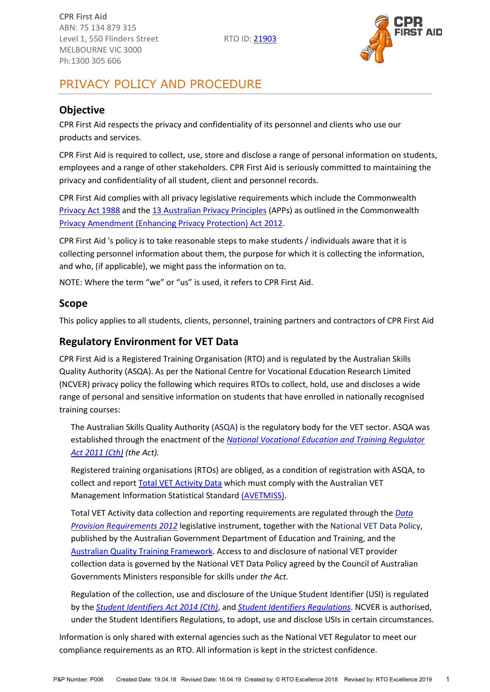

# PRIVACY POLICY AND PROCEDURE

## <span id="page-0-1"></span>**Objective**

CPR First Aid respects the privacy and confidentiality of its personnel and clients who use our products and services.

CPR First Aid is required to collect, use, store and disclose a range of personal information on students, employees and a range of other stakeholders. CPR First Aid is seriously committed to maintaining the privacy and confidentiality of all student, client and personnel records.

CPR First Aid complies with all privacy legislative requirements which include the Commonwealth [Privacy Act 1988](https://www.comlaw.gov.au/Series/C2004A03712) and the [13 Australian Privacy Principles](http://www.oaic.gov.au/individuals/privacy-fact-sheets/general/privacy-fact-sheet-17-australian-privacy-principles) (APPs) as outlined in the Commonwealth [Privacy Amendment \(Enhancing Privacy Protection\) Act 2012.](https://www.legislation.gov.au/Details/C2015C00053)

CPR First Aid 's policy is to take reasonable steps to make students / individuals aware that it is collecting personnel information about them, the purpose for which it is collecting the information, and who, (if applicable), we might pass the information on to.

NOTE: Where the term "we" or "us" is used, it refers to CPR First Aid.

#### **Scope**

This policy applies to all students, clients, personnel, training partners and contractors of CPR First Aid

#### <span id="page-0-0"></span>**Regulatory Environment for VET Data**

CPR First Aid is a Registered Training Organisation (RTO) and is regulated by the Australian Skills Quality Authority (ASQA). As per the National Centre for Vocational Education Research Limited (NCVER) privacy policy the following which requires RTOs to collect, hold, use and discloses a wide range of personal and sensitive information on students that have enrolled in nationally recognised training courses:

The Australian Skills Quality Authority [\(ASQA\)](https://www.asqa.gov.au/vet-registration) is the regulatory body for the VET sector. ASQA was established through the enactment of the *[National Vocational Education and Training Regulator](https://www.legislation.gov.au/Details/C2017C00245)  [Act 2011 \(Cth\)](https://www.legislation.gov.au/Details/C2017C00245) (the Act).*

Registered training organisations (RTOs) are obliged, as a condition of registration with ASQA, to collect and report [Total VET Activity Data](https://www.asqa.gov.au/vet-registration/meet-data-provision-requirements/total-vet-activity-reporting) which must comply with the Australian VET Management Information Statistical Standard [\(AVETMISS\).](https://www.ncver.edu.au/rto-hub/avetmiss-support-for-rtos)

Total VET Activity data collection and reporting requirements are regulated through the *[Data](https://www.legislation.gov.au/Details/F2013C00497)  [Provision Requirements 2012](https://www.legislation.gov.au/Details/F2013C00497)* legislative instrument, together with the [National VET Data Policy,](https://www.education.gov.au/national-vet-data-policy-0) published by the Australian Government Department of Education and Training, and the [Australian Quality Training Framework.](http://www.ivet.com.au/a/184.html) Access to and disclosure of national VET provider collection data is governed by the National VET Data Policy agreed by the Council of Australian Governments Ministers responsible for skills under *the Act.*

Regulation of the collection, use and disclosure of the Unique Student Identifier (USI) is regulated by the *[Student Identifiers Act 2014 \(Cth\)](https://www.legislation.gov.au/Details/C2017C00038)*, and *[Student Identifiers Regulations](https://www.legislation.gov.au/Details/F2014L01204)*. NCVER is authorised, under the Student Identifiers Regulations, to adopt, use and disclose USIs in certain circumstances.

Information is only shared with external agencies such as the National VET Regulator to meet our compliance requirements as an RTO. All information is kept in the strictest confidence.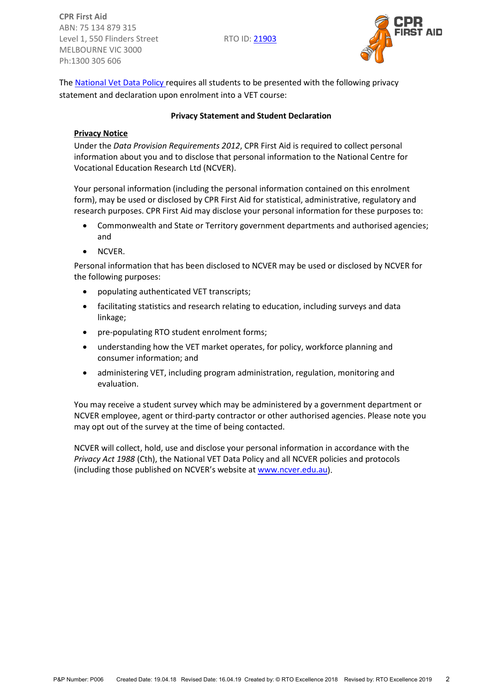

The [National Vet Data Policy r](https://www.education.gov.au/national-vet-data-policy-0)equires all students to be presented with the following privacy statement and declaration upon enrolment into a VET course:

#### **Privacy Statement and Student Declaration**

#### **Privacy Notice**

Under the *Data Provision Requirements 2012*, CPR First Aid is required to collect personal information about you and to disclose that personal information to the National Centre for Vocational Education Research Ltd (NCVER).

Your personal information (including the personal information contained on this enrolment form), may be used or disclosed by CPR First Aid for statistical, administrative, regulatory and research purposes. CPR First Aid may disclose your personal information for these purposes to:

- Commonwealth and State or Territory government departments and authorised agencies; and
- NCVER.

Personal information that has been disclosed to NCVER may be used or disclosed by NCVER for the following purposes:

- populating authenticated VET transcripts;
- facilitating statistics and research relating to education, including surveys and data linkage;
- pre-populating RTO student enrolment forms;
- understanding how the VET market operates, for policy, workforce planning and consumer information; and
- administering VET, including program administration, regulation, monitoring and evaluation.

You may receive a student survey which may be administered by a government department or NCVER employee, agent or third-party contractor or other authorised agencies. Please note you may opt out of the survey at the time of being contacted.

NCVER will collect, hold, use and disclose your personal information in accordance with the *Privacy Act 1988* (Cth), the National VET Data Policy and all NCVER policies and protocols (including those published on NCVER's website at [www.ncver.edu.au\)](https://www.ncver.edu.au/).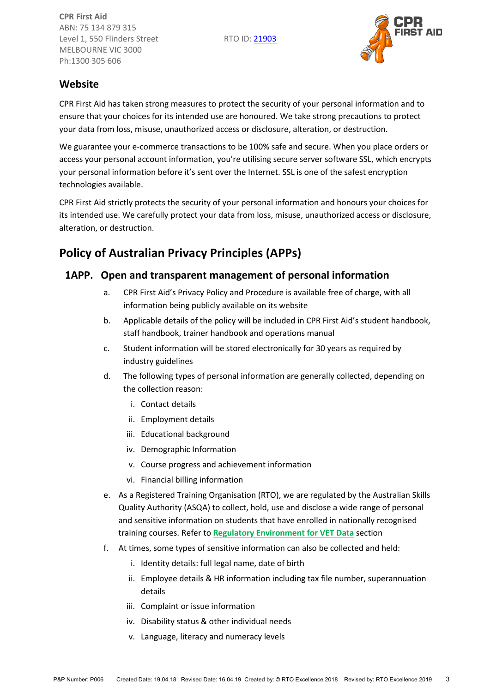

## **Website**

CPR First Aid has taken strong measures to protect the security of your personal information and to ensure that your choices for its intended use are honoured. We take strong precautions to protect your data from loss, misuse, unauthorized access or disclosure, alteration, or destruction.

We guarantee your e-commerce transactions to be 100% safe and secure. When you place orders or access your personal account information, you're utilising secure server software SSL, which encrypts your personal information before it's sent over the Internet. SSL is one of the safest encryption technologies available.

CPR First Aid strictly protects the security of your personal information and honours your choices for its intended use. We carefully protect your data from loss, misuse, unauthorized access or disclosure, alteration, or destruction.

# **Policy of Australian Privacy Principles (APPs)**

## <span id="page-2-0"></span>**1APP. Open and transparent management of personal information**

- a. CPR First Aid's Privacy Policy and Procedure is available free of charge, with all information being publicly available on its website
- b. Applicable details of the policy will be included in CPR First Aid's student handbook, staff handbook, trainer handbook and operations manual
- c. Student information will be stored electronically for 30 years as required by industry guidelines
- d. The following types of personal information are generally collected, depending on the collection reason:
	- i. Contact details
	- ii. Employment details
	- iii. Educational background
	- iv. Demographic Information
	- v. Course progress and achievement information
	- vi. Financial billing information
- e. As a Registered Training Organisation (RTO), we are regulated by the Australian Skills Quality Authority (ASQA) to collect, hold, use and disclose a wide range of personal and sensitive information on students that have enrolled in nationally recognised training courses. Refer to **[Regulatory Environment for VET Data](#page-0-0)** section
- f. At times, some types of sensitive information can also be collected and held:
	- i. Identity details: full legal name, date of birth
	- ii. Employee details & HR information including tax file number, superannuation details
	- iii. Complaint or issue information
	- iv. Disability status & other individual needs
	- v. Language, literacy and numeracy levels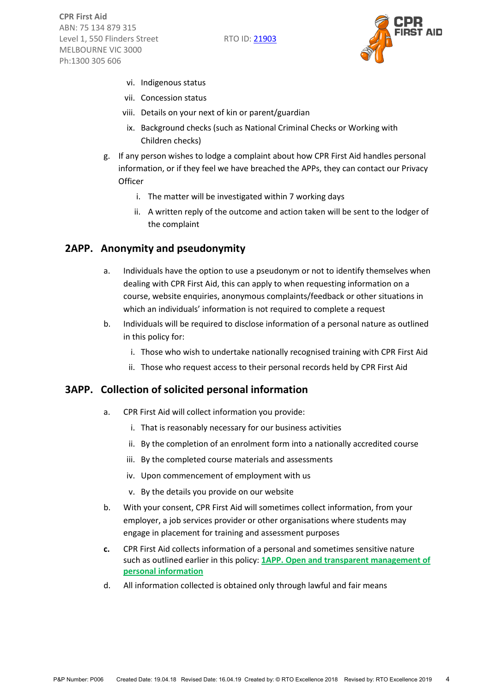

- vi. Indigenous status
- vii. Concession status
- viii. Details on your next of kin or parent/guardian
- ix. Background checks (such as National Criminal Checks or Working with Children checks)
- g. If any person wishes to lodge a complaint about how CPR First Aid handles personal information, or if they feel we have breached the APPs, they can contact our Privacy **Officer** 
	- i. The matter will be investigated within 7 working days
	- ii. A written reply of the outcome and action taken will be sent to the lodger of the complaint

#### **2APP. Anonymity and pseudonymity**

- a. Individuals have the option to use a pseudonym or not to identify themselves when dealing with CPR First Aid, this can apply to when requesting information on a course, website enquiries, anonymous complaints/feedback or other situations in which an individuals' information is not required to complete a request
- b. Individuals will be required to disclose information of a personal nature as outlined in this policy for:
	- i. Those who wish to undertake nationally recognised training with CPR First Aid
	- ii. Those who request access to their personal records held by CPR First Aid

#### **3APP. Collection of solicited personal information**

- a. CPR First Aid will collect information you provide:
	- i. That is reasonably necessary for our business activities
	- ii. By the completion of an enrolment form into a nationally accredited course
	- iii. By the completed course materials and assessments
	- iv. Upon commencement of employment with us
	- v. By the details you provide on our website
- b. With your consent, CPR First Aid will sometimes collect information, from your employer, a job services provider or other organisations where students may engage in placement for training and assessment purposes
- **c.** CPR First Aid collects information of a personal and sometimes sensitive nature such as outlined earlier in this policy: **[1APP. Open and transparent management of](#page-2-0)  [personal information](#page-2-0)**
- d. All information collected is obtained only through lawful and fair means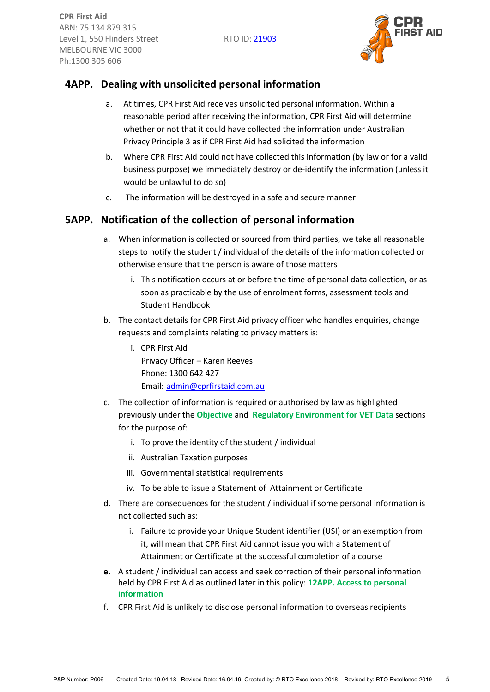

# **4APP. Dealing with unsolicited personal information**

- a. At times, CPR First Aid receives unsolicited personal information. Within a reasonable period after receiving the information, CPR First Aid will determine whether or not that it could have collected the information under Australian Privacy Principle 3 as if CPR First Aid had solicited the information
- b. Where CPR First Aid could not have collected this information (by law or for a valid business purpose) we immediately destroy or de-identify the information (unless it would be unlawful to do so)
- c. The information will be destroyed in a safe and secure manner

# **5APP. Notification of the collection of personal information**

- a. When information is collected or sourced from third parties, we take all reasonable steps to notify the student / individual of the details of the information collected or otherwise ensure that the person is aware of those matters
	- i. This notification occurs at or before the time of personal data collection, or as soon as practicable by the use of enrolment forms, assessment tools and Student Handbook
- b. The contact details for CPR First Aid privacy officer who handles enquiries, change requests and complaints relating to privacy matters is:
	- i. CPR First Aid Privacy Officer – Karen Reeves Phone: 1300 642 427 Email: [admin@cprfirstaid.com.au](mailto:admin@cprfirstaid.com.au)
- c. The collection of information is required or authorised by law as highlighted previously under the **[Objective](#page-0-1)** and **[Regulatory Environment for VET Data](#page-0-0)** sections for the purpose of:
	- i. To prove the identity of the student / individual
	- ii. Australian Taxation purposes
	- iii. Governmental statistical requirements
	- iv. To be able to issue a Statement of Attainment or Certificate
- d. There are consequences for the student / individual if some personal information is not collected such as:
	- i. Failure to provide your Unique Student identifier (USI) or an exemption from it, will mean that CPR First Aid cannot issue you with a Statement of Attainment or Certificate at the successful completion of a course
- **e.** A student / individual can access and seek correction of their personal information held by CPR First Aid as outlined later in this policy: **[12APP. Access to personal](#page-7-0)  [information](#page-7-0)**
- f. CPR First Aid is unlikely to disclose personal information to overseas recipients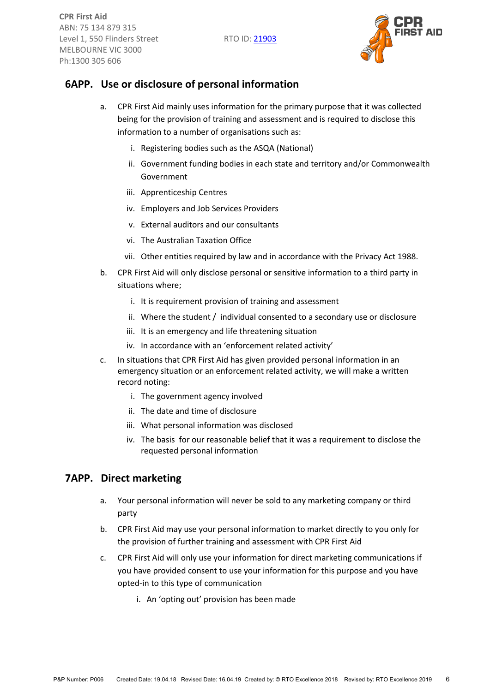

## **6APP. Use or disclosure of personal information**

- a. CPR First Aid mainly uses information for the primary purpose that it was collected being for the provision of training and assessment and is required to disclose this information to a number of organisations such as:
	- i. Registering bodies such as the ASQA (National)
	- ii. Government funding bodies in each state and territory and/or Commonwealth Government
	- iii. Apprenticeship Centres
	- iv. Employers and Job Services Providers
	- v. External auditors and our consultants
	- vi. The Australian Taxation Office
	- vii. Other entities required by law and in accordance with the Privacy Act 1988.
- b. CPR First Aid will only disclose personal or sensitive information to a third party in situations where;
	- i. It is requirement provision of training and assessment
	- ii. Where the student / individual consented to a secondary use or disclosure
	- iii. It is an emergency and life threatening situation
	- iv. In accordance with an 'enforcement related activity'
- c. In situations that CPR First Aid has given provided personal information in an emergency situation or an enforcement related activity, we will make a written record noting:
	- i. The government agency involved
	- ii. The date and time of disclosure
	- iii. What personal information was disclosed
	- iv. The basis for our reasonable belief that it was a requirement to disclose the requested personal information

#### **7APP. Direct marketing**

- a. Your personal information will never be sold to any marketing company or third party
- b. CPR First Aid may use your personal information to market directly to you only for the provision of further training and assessment with CPR First Aid
- c. CPR First Aid will only use your information for direct marketing communications if you have provided consent to use your information for this purpose and you have opted-in to this type of communication
	- i. An 'opting out' provision has been made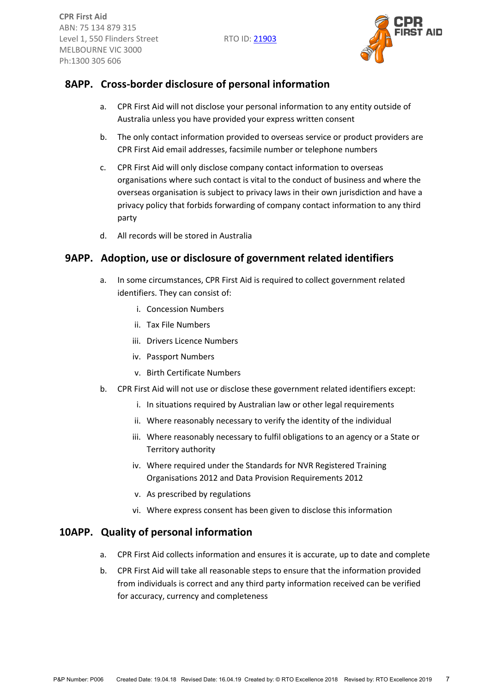

# **8APP. Cross-border disclosure of personal information**

- a. CPR First Aid will not disclose your personal information to any entity outside of Australia unless you have provided your express written consent
- b. The only contact information provided to overseas service or product providers are CPR First Aid email addresses, facsimile number or telephone numbers
- c. CPR First Aid will only disclose company contact information to overseas organisations where such contact is vital to the conduct of business and where the overseas organisation is subject to privacy laws in their own jurisdiction and have a privacy policy that forbids forwarding of company contact information to any third party
- d. All records will be stored in Australia

## **9APP. Adoption, use or disclosure of government related identifiers**

- a. In some circumstances, CPR First Aid is required to collect government related identifiers. They can consist of:
	- i. Concession Numbers
	- ii. Tax File Numbers
	- iii. Drivers Licence Numbers
	- iv. Passport Numbers
	- v. Birth Certificate Numbers
- b. CPR First Aid will not use or disclose these government related identifiers except:
	- i. In situations required by Australian law or other legal requirements
	- ii. Where reasonably necessary to verify the identity of the individual
	- iii. Where reasonably necessary to fulfil obligations to an agency or a State or Territory authority
	- iv. Where required under the Standards for NVR Registered Training Organisations 2012 and Data Provision Requirements 2012
	- v. As prescribed by regulations
	- vi. Where express consent has been given to disclose this information

#### **10APP. Quality of personal information**

- a. CPR First Aid collects information and ensures it is accurate, up to date and complete
- b. CPR First Aid will take all reasonable steps to ensure that the information provided from individuals is correct and any third party information received can be verified for accuracy, currency and completeness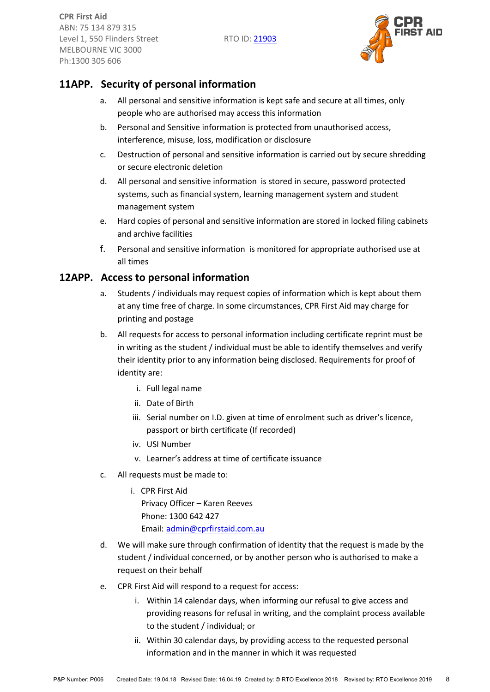

# **11APP. Security of personal information**

- a. All personal and sensitive information is kept safe and secure at all times, only people who are authorised may access this information
- b. Personal and Sensitive information is protected from unauthorised access, interference, misuse, loss, modification or disclosure
- c. Destruction of personal and sensitive information is carried out by secure shredding or secure electronic deletion
- d. All personal and sensitive information is stored in secure, password protected systems, such as financial system, learning management system and student management system
- e. Hard copies of personal and sensitive information are stored in locked filing cabinets and archive facilities
- f. Personal and sensitive information is monitored for appropriate authorised use at all times

#### <span id="page-7-0"></span>**12APP. Access to personal information**

- a. Students / individuals may request copies of information which is kept about them at any time free of charge. In some circumstances, CPR First Aid may charge for printing and postage
- b. All requests for access to personal information including certificate reprint must be in writing as the student / individual must be able to identify themselves and verify their identity prior to any information being disclosed. Requirements for proof of identity are:
	- i. Full legal name
	- ii. Date of Birth
	- iii. Serial number on I.D. given at time of enrolment such as driver's licence, passport or birth certificate (If recorded)
	- iv. USI Number
	- v. Learner's address at time of certificate issuance
- c. All requests must be made to:
	- i. CPR First Aid

 Privacy Officer – Karen Reeves Phone: 1300 642 427 Email: [admin@cprfirstaid.com.au](mailto:admin@cprfirstaid.com.au)

- d. We will make sure through confirmation of identity that the request is made by the student / individual concerned, or by another person who is authorised to make a request on their behalf
- e. CPR First Aid will respond to a request for access:
	- i. Within 14 calendar days, when informing our refusal to give access and providing reasons for refusal in writing, and the complaint process available to the student / individual; or
	- ii. Within 30 calendar days, by providing access to the requested personal information and in the manner in which it was requested